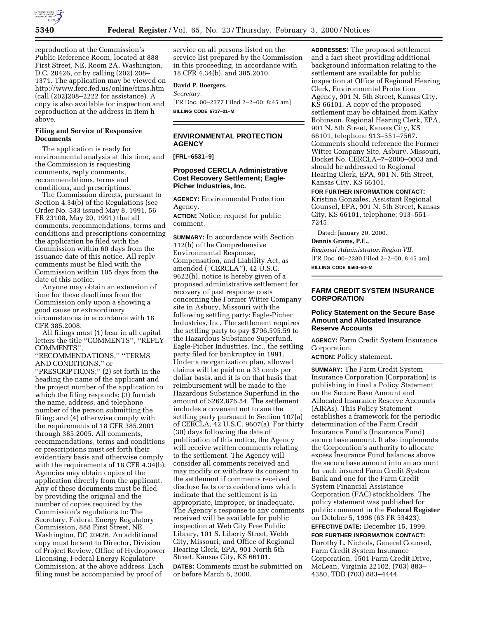

reproduction at the Commission's Public Reference Room, located at 888 First Street, NE, Room 2A, Washington, D.C. 20426, or by calling (202) 208– 1371. The application may be viewed on http://www.ferc.fed.us/online/rims.htm (call (202)208–2222 for assistance). A copy is also available for inspection and reproduction at the address in item h above.

# **Filing and Service of Responsive Documents**

The application is ready for environmental analysis at this time, and the Commission is requesting comments, reply comments, recommendations, terms and conditions, and prescriptions.

The Commission directs, pursuant to Section 4.34(b) of the Regulations (see Order No. 533 issued May 8, 1991, 56 FR 23108, May 20, 1991) that all comments, recommendations, terms and conditions and prescriptions concerning the application be filed with the Commission within 60 days from the issuance date of this notice. All reply comments must be filed with the Commission within 105 days from the date of this notice.

Anyone may obtain an extension of time for these deadlines from the Commission only upon a showing a good cause or extraordinary circumstances in accordance with 18 CFR 385.2008.

All filings must (1) bear in all capital letters the title ''COMMENTS'', ''REPLY COMMENTS'',

''RECOMMENDATIONS,'' ''TERMS AND CONDITIONS,'' or

''PRESCRIPTIONS;'' (2) set forth in the heading the name of the applicant and the project number of the application to which the filing responds; (3) furnish the name, address, and telephone number of the person submitting the filing; and (4) otherwise comply with the requirements of 18 CFR 385.2001 through 385.2005. All comments, recommendations, terms and conditions or prescriptions must set forth their evidentiary basis and otherwise comply with the requirements of 18 CFR 4.34(b). Agencies may obtain copies of the application directly from the applicant. Any of these documents must be filed by providing the original and the number of copies required by the Commission's regulations to: The Secretary, Federal Energy Regulatory Commission, 888 First Street, NE, Washington, DC 20426. An additional copy must be sent to Director, Division of Project Review, Office of Hydropower Licensing, Federal Energy Regulatory Commission, at the above address. Each filing must be accompanied by proof of

service on all persons listed on the service list prepared by the Commission in this proceeding, in accordance with 18 CFR 4.34(b), and 385.2010.

# **David P. Boergers,**

*Secretary.*

[FR Doc. 00–2377 Filed 2–2–00; 8:45 am] **BILLING CODE 6717–01–M**

# **ENVIRONMENTAL PROTECTION AGENCY**

**[FRL–6531–9]**

# **Proposed CERCLA Administrative Cost Recovery Settlement; Eagle-Picher Industries, Inc.**

**AGENCY:** Environmental Protection Agency.

**ACTION:** Notice; request for public comment.

**SUMMARY:** In accordance with Section 112(h) of the Comprehensive Environmental Response, Compensation, and Liability Act, as amended (''CERCLA''), 42 U.S.C. 9622(h), notice is hereby given of a proposed administrative settlement for recovery of past response costs concerning the Former Witter Company site in Asbury, Missouri with the following settling party: Eagle-Picher Industries, Inc. The settlement requires the settling party to pay \$796,595.59 to the Hazardous Substance Superfund. Eagle-Picher Industries, Inc., the settling party filed for bankruptcy in 1991. Under a reorganization plan, allowed claims will be paid on a 33 cents per dollar basis, and it is on that basis that reimbursement will be made to the Hazardous Substance Superfund in the amount of \$262,876.54. The settlement includes a covenant not to sue the settling party pursuant to Section 107(a) of CERCLA, 42 U.S.C. 9607(a). For thirty (30) days following the date of publication of this notice, the Agency will receive written comments relating to the settlement. The Agency will consider all comments received and may modify or withdraw its consent to the settlement if comments received disclose facts or considerations which indicate that the settlement is in appropriate, improper, or inadequate. The Agency's response to any comments received will be available for public inspection at Web City Free Public Library, 101 S. Liberty Street, Webb City, Missouri, and Office of Regional Hearing Clerk, EPA, 901 North 5th Street, Kansas City, KS 66101.

**DATES:** Comments must be submitted on or before March 6, 2000.

**ADDRESSES:** The proposed settlement and a fact sheet providing additional background information relating to the settlement are available for public inspection at Office of Regional Hearing Clerk, Environmental Protection Agency, 901 N. 5th Street, Kansas City, KS 66101. A copy of the proposed settlement may be obtained from Kathy Robinson, Regional Hearing Clerk, EPA, 901 N. 5th Street, Kansas City, KS 66101, telephone 913–551–7567. Comments should reference the Former Witter Company Site, Asbury, Missouri, Docket No. CERCLA–7–2000–0003 and should be addressed to Regional Hearing Clerk, EPA, 901 N. 5th Street, Kansas City, KS 66101.

**FOR FURTHER INFORMATION CONTACT:** Kristina Gonzales, Assistant Regional Counsel, EPA, 901 N. 5th Street, Kansas City, KS 66101, telephone: 913–551– 7245.

Dated: January 20, 2000.

**Dennis Grams, P.E.,**

*Regional Administrator, Region VII.* [FR Doc. 00–2280 Filed 2–2–00, 8:45 am] **BILLING CODE 6560–50–M**

**FARM CREDIT SYSTEM INSURANCE CORPORATION**

## **Policy Statement on the Secure Base Amount and Allocated Insurance Reserve Accounts**

**AGENCY:** Farm Credit System Insurance Corporation.

**ACTION:** Policy statement.

**SUMMARY:** The Farm Credit System Insurance Corporation (Corporation) is publishing in final a Policy Statement on the Secure Base Amount and Allocated Insurance Reserve Accounts (AIRAs). This Policy Statement establishes a framework for the periodic determination of the Farm Credit Insurance Fund's (Insurance Fund) secure base amount. It also implements the Corporation's authority to allocate excess Insurance Fund balances above the secure base amount into an account for each insured Farm Credit System Bank and one for the Farm Credit System Financial Assistance Corporation (FAC) stockholders. The policy statement was published for public comment in the **Federal Register** on October 5, 1998 (63 FR 53423).

**EFFECTIVE DATE:** December 15, 1999. **FOR FURTHER INFORMATION CONTACT:** Dorothy L. Nichols, General Counsel, Farm Credit System Insurance Corporation, 1501 Farm Credit Drive, McLean, Virginia 22102, (703) 883– 4380, TDD (703) 883–4444.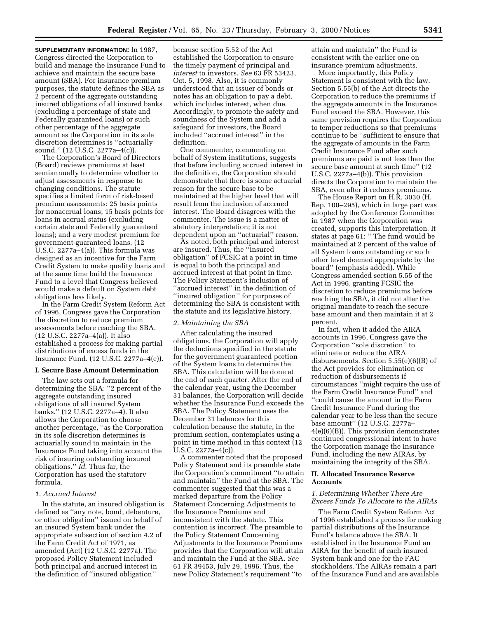**SUPPLEMENTARY INFORMATION:** In 1987, Congress directed the Corporation to build and manage the Insurance Fund to achieve and maintain the secure base amount (SBA). For insurance premium purposes, the statute defines the SBA as 2 percent of the aggregate outstanding insured obligations of all insured banks (excluding a percentage of state and Federally guaranteed loans) or such other percentage of the aggregate amount as the Corporation in its sole discretion determines is ''actuarially sound.'' (12 U.S.C. 2277a–4(c)).

The Corporation's Board of Directors (Board) reviews premiums at least semiannually to determine whether to adjust assessments in response to changing conditions. The statute specifies a limited form of risk-based premium assessments: 25 basis points for nonaccrual loans; 15 basis points for loans in accrual status (excluding certain state and Federally guaranteed loans); and a very modest premium for government-guaranteed loans. (12 U.S.C. 2277a–4(a)). This formula was designed as an incentive for the Farm Credit System to make quality loans and at the same time build the Insurance Fund to a level that Congress believed would make a default on System debt obligations less likely.

In the Farm Credit System Reform Act of 1996, Congress gave the Corporation the discretion to reduce premium assessments before reaching the SBA. (12 U.S.C. 2277a–4(a)). It also established a process for making partial distributions of excess funds in the Insurance Fund. (12 U.S.C. 2277a–4(e)).

## **I. Secure Base Amount Determination**

The law sets out a formula for determining the SBA: ''2 percent of the aggregate outstanding insured obligations of all insured System banks.'' (12 U.S.C. 2277a–4). It also allows the Corporation to choose another percentage, ''as the Corporation in its sole discretion determines is actuarially sound to maintain in the Insurance Fund taking into account the risk of insuring outstanding insured obligations.'' *Id*. Thus far, the Corporation has used the statutory formula.

## *1. Accrued Interest*

In the statute, an insured obligation is defined as ''any note, bond, debenture, or other obligation'' issued on behalf of an insured System bank under the appropriate subsection of section 4.2 of the Farm Credit Act of 1971, as amended (Act) (12 U.S.C. 2277a). The proposed Policy Statement included both principal and accrued interest in the definition of ''insured obligation''

because section 5.52 of the Act established the Corporation to ensure the timely payment of principal and *interest* to investors. *See* 63 FR 53423, Oct. 5, 1998. Also, it is commonly understood that an issuer of bonds or notes has an obligation to pay a debt, which includes interest, when due. Accordingly, to promote the safety and soundness of the System and add a safeguard for investors, the Board included ''accrued interest'' in the definition.

One commenter, commenting on behalf of System institutions, suggests that before including accrued interest in the definition, the Corporation should demonstrate that there is some actuarial reason for the secure base to be maintained at the higher level that will result from the inclusion of accrued interest. The Board disagrees with the commenter. The issue is a matter of statutory interpretation; it is not dependent upon an ''actuarial'' reason.

As noted, both principal and interest are insured. Thus, the ''insured obligation'' of FCSIC at a point in time is equal to both the principal and accrued interest at that point in time. The Policy Statement's inclusion of ''accrued interest'' in the definition of ''insured obligation'' for purposes of determining the SBA is consistent with the statute and its legislative history.

#### *2. Maintaining the SBA*

After calculating the insured obligations, the Corporation will apply the deductions specified in the statute for the government guaranteed portion of the System loans to determine the SBA. This calculation will be done at the end of each quarter. After the end of the calendar year, using the December 31 balances, the Corporation will decide whether the Insurance Fund exceeds the SBA. The Policy Statement uses the December 31 balances for this calculation because the statute, in the premium section, contemplates using a point in time method in this context (12 U.S.C. 2277a–4(c)).

A commenter noted that the proposed Policy Statement and its preamble state the Corporation's commitment ''to attain and maintain'' the Fund at the SBA. The commenter suggested that this was a marked departure from the Policy Statement Concerning Adjustments to the Insurance Premiums and inconsistent with the statute. This contention is incorrect. The preamble to the Policy Statement Concerning Adjustments to the Insurance Premiums provides that the Corporation will attain and maintain the Fund at the SBA. *See* 61 FR 39453, July 29, 1996. Thus, the new Policy Statement's requirement ''to

attain and maintain'' the Fund is consistent with the earlier one on insurance premium adjustments.

More importantly, this Policy Statement is consistent with the law. Section 5.55(b) of the Act directs the Corporation to reduce the premiums if the aggregate amounts in the Insurance Fund exceed the SBA. However, this same provision requires the Corporation to temper reductions so that premiums continue to be ''sufficient to ensure that the aggregate of amounts in the Farm Credit Insurance Fund after such premiums are paid is not less than the secure base amount at such time'' (12 U.S.C. 2277a–4(b)). This provision directs the Corporation to maintain the SBA, even after it reduces premiums.

The House Report on H.R. 3030 (H. Rep. 100–295), which in large part was adopted by the Conference Committee in 1987 when the Corporation was created, supports this interpretation. It states at page 61: '' The fund would be maintained at 2 percent of the value of all System loans outstanding or such other level deemed appropriate by the board'' (emphasis added). While Congress amended section 5.55 of the Act in 1996, granting FCSIC the discretion to reduce premiums before reaching the SBA, it did not alter the original mandate to reach the secure base amount and then maintain it at 2 percent.

In fact, when it added the AIRA accounts in 1996, Congress gave the Corporation ''sole discretion'' to eliminate or reduce the AIRA disbursements. Section 5.55(e)(6)(B) of the Act provides for elimination or reduction of disbursements if circumstances ''might require the use of the Farm Credit Insurance Fund'' and ''could cause the amount in the Farm Credit Insurance Fund during the calendar year to be less than the secure base amount'' (12 U.S.C. 2277a– 4(e)(6)(B)). This provision demonstrates continued congressional intent to have the Corporation manage the Insurance Fund, including the new AIRAs, by maintaining the integrity of the SBA.

# **II. Allocated Insurance Reserve Accounts**

# *1. Determining Whether There Are Excess Funds To Allocate to the AIRAs*

The Farm Credit System Reform Act of 1996 established a process for making partial distributions of the Insurance Fund's balance above the SBA. It established in the Insurance Fund an AIRA for the benefit of each insured System bank and one for the FAC stockholders. The AIRAs remain a part of the Insurance Fund and are available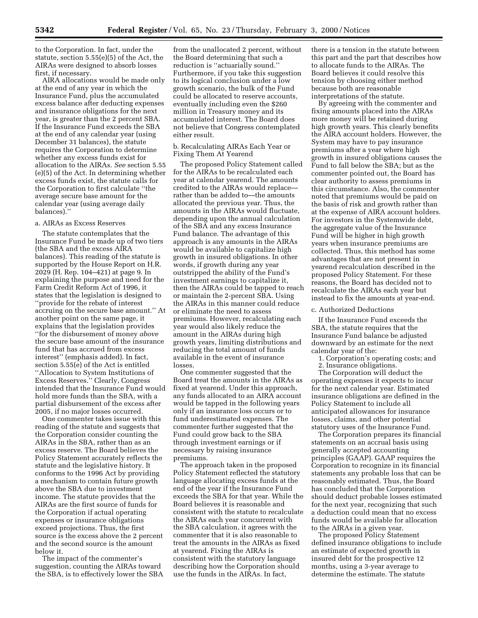to the Corporation. In fact, under the statute, section 5.55(e)(5) of the Act, the AIRAs were designed to absorb losses first, if necessary.

AIRA allocations would be made only at the end of any year in which the Insurance Fund, plus the accumulated excess balance after deducting expenses and insurance obligations for the next year, is greater than the 2 percent SBA. If the Insurance Fund exceeds the SBA at the end of any calendar year (using December 31 balances), the statute requires the Corporation to determine whether any excess funds exist for allocation to the AIRAs. *See* section 5.55 (e)(5) of the Act. In determining whether excess funds exist, the statute calls for the Corporation to first calculate ''the average secure base amount for the calendar year (using average daily balances).''

#### a. AIRAs as Excess Reserves

The statute contemplates that the Insurance Fund be made up of two tiers (the SBA and the excess AIRA balances). This reading of the statute is supported by the House Report on H.R. 2029 (H. Rep. 104–421) at page 9. In explaining the purpose and need for the Farm Credit Reform Act of 1996, it states that the legislation is designed to ''provide for the rebate of interest accruing on the secure base amount.'' At another point on the same page, it explains that the legislation provides ''for the disbursement of money *above* the secure base amount of the insurance fund that has accrued from excess interest'' (emphasis added). In fact, section 5.55(e) of the Act is entitled ''Allocation to System Institutions of Excess Reserves.'' Clearly, Congress intended that the Insurance Fund would hold more funds than the SBA, with a partial disbursement of the excess after 2005, if no major losses occurred.

One commenter takes issue with this reading of the statute and suggests that the Corporation consider counting the AIRAs in the SBA, rather than as an excess reserve. The Board believes the Policy Statement accurately reflects the statute and the legislative history. It conforms to the 1996 Act by providing a mechanism to contain future growth above the SBA due to investment income. The statute provides that the AIRAs are the first source of funds for the Corporation if actual operating expenses or insurance obligations exceed projections. Thus, the first source is the excess above the 2 percent and the second source is the amount below it.

The impact of the commenter's suggestion, counting the AIRAs toward the SBA, is to effectively lower the SBA

from the unallocated 2 percent, without the Board determining that such a reduction is ''actuarially sound.'' Furthermore, if you take this suggestion to its logical conclusion under a low growth scenario, the bulk of the Fund could be allocated to reserve accounts, eventually including even the \$260 million in Treasury money and its accumulated interest. The Board does not believe that Congress contemplated either result.

## b. Recalculating AIRAs Each Year or Fixing Them At Yearend

The proposed Policy Statement called for the AIRAs to be recalculated each year at calendar yearend. The amounts credited to the AIRAs would replace rather than be added to—the amounts allocated the previous year. Thus, the amounts in the AIRAs would fluctuate, depending upon the annual calculation of the SBA and any excess Insurance Fund balance. The advantage of this approach is any amounts in the AIRAs would be available to capitalize high growth in insured obligations. In other words, if growth during any year outstripped the ability of the Fund's investment earnings to capitalize it, then the AIRAs could be tapped to reach or maintain the 2-percent SBA. Using the AIRAs in this manner could reduce or eliminate the need to assess premiums. However, recalculating each year would also likely reduce the amount in the AIRAs during high growth years, limiting distributions and reducing the total amount of funds available in the event of insurance losses.

One commenter suggested that the Board treat the amounts in the AIRAs as fixed at yearend. Under this approach, any funds allocated to an AIRA account would be tapped in the following years only if an insurance loss occurs or to fund underestimated expenses. The commenter further suggested that the Fund could grow back to the SBA through investment earnings or if necessary by raising insurance premiums.

The approach taken in the proposed Policy Statement reflected the statutory language allocating excess funds at the end of the year if the Insurance Fund exceeds the SBA for that year. While the Board believes it is reasonable and consistent with the statute to recalculate the AIRAs each year concurrent with the SBA calculation, it agrees with the commenter that it is also reasonable to treat the amounts in the AIRAs as fixed at yearend. Fixing the AIRAs is consistent with the statutory language describing how the Corporation should use the funds in the AIRAs. In fact,

there is a tension in the statute between this part and the part that describes how to allocate funds to the AIRAs. The Board believes it could resolve this tension by choosing either method because both are reasonable interpretations of the statute.

By agreeing with the commenter and fixing amounts placed into the AIRAs more money will be retained during high growth years. This clearly benefits the AIRA account holders. However, the System may have to pay insurance premiums after a year where high growth in insured obligations causes the Fund to fall below the SBA; but as the commenter pointed out, the Board has clear authority to assess premiums in this circumstance. Also, the commenter noted that premiums would be paid on the basis of risk and growth rather than at the expense of AIRA account holders. For investors in the Systemwide debt, the aggregate value of the Insurance Fund will be higher in high growth years when insurance premiums are collected. Thus, this method has some advantages that are not present in yearend recalculation described in the proposed Policy Statement. For these reasons, the Board has decided not to recalculate the AIRAs each year but instead to fix the amounts at year-end.

# c. Authorized Deductions

If the Insurance Fund exceeds the SBA, the statute requires that the Insurance Fund balance be adjusted downward by an estimate for the next calendar year of the:

1. Corporation's operating costs; and 2. Insurance obligations.

The Corporation will deduct the operating expenses it expects to incur for the next calendar year. Estimated insurance obligations are defined in the Policy Statement to include all anticipated allowances for insurance losses, claims, and other potential statutory uses of the Insurance Fund.

The Corporation prepares its financial statements on an accrual basis using generally accepted accounting principles (GAAP). GAAP requires the Corporation to recognize in its financial statements any probable loss that can be reasonably estimated. Thus, the Board has concluded that the Corporation should deduct probable losses estimated for the next year, recognizing that such a deduction could mean that no excess funds would be available for allocation to the AIRAs in a given year.

The proposed Policy Statement defined insurance obligations to include an estimate of expected growth in insured debt for the prospective 12 months, using a 3-year average to determine the estimate. The statute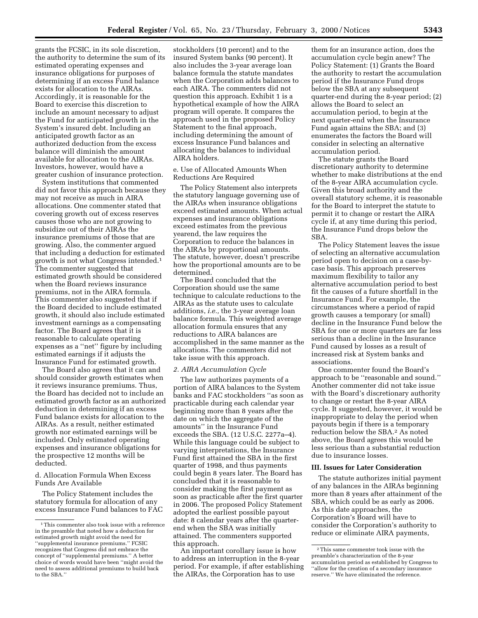grants the FCSIC, in its sole discretion, the authority to determine the sum of its estimated operating expenses and insurance obligations for purposes of determining if an excess Fund balance exists for allocation to the AIRAs. Accordingly, it is reasonable for the Board to exercise this discretion to include an amount necessary to adjust the Fund for anticipated growth in the System's insured debt. Including an anticipated growth factor as an authorized deduction from the excess balance will diminish the amount available for allocation to the AIRAs. Investors, however, would have a greater cushion of insurance protection.

System institutions that commented did not favor this approach because they may not receive as much in AIRA allocations. One commenter stated that covering growth out of excess reserves causes those who are not growing to subsidize out of their AIRAs the insurance premiums of those that are growing. Also, the commenter argued that including a deduction for estimated growth is not what Congress intended.1 The commenter suggested that estimated growth should be considered when the Board reviews insurance premiums, not in the AIRA formula. This commenter also suggested that if the Board decided to include estimated growth, it should also include estimated investment earnings as a compensating factor. The Board agrees that it is reasonable to calculate operating expenses as a ''net'' figure by including estimated earnings if it adjusts the Insurance Fund for estimated growth.

The Board also agrees that it can and should consider growth estimates when it reviews insurance premiums. Thus, the Board has decided not to include an estimated growth factor as an authorized deduction in determining if an excess Fund balance exists for allocation to the AIRAs. As a result, neither estimated growth nor estimated earnings will be included. Only estimated operating expenses and insurance obligations for the prospective 12 months will be deducted.

d. Allocation Formula When Excess Funds Are Available

The Policy Statement includes the statutory formula for allocation of any excess Insurance Fund balances to FAC stockholders (10 percent) and to the insured System banks (90 percent). It also includes the 3-year average loan balance formula the statute mandates when the Corporation adds balances to each AIRA. The commenters did not question this approach. Exhibit 1 is a hypothetical example of how the AIRA program will operate. It compares the approach used in the proposed Policy Statement to the final approach, including determining the amount of excess Insurance Fund balances and allocating the balances to individual AIRA holders.

e. Use of Allocated Amounts When Reductions Are Required

The Policy Statement also interprets the statutory language governing use of the AIRAs when insurance obligations exceed estimated amounts. When actual expenses and insurance obligations exceed estimates from the previous yearend, the law requires the Corporation to reduce the balances in the AIRAs by proportional amounts. The statute, however, doesn't prescribe how the proportional amounts are to be determined.

The Board concluded that the Corporation should use the same technique to calculate reductions to the AIRAs as the statute uses to calculate additions, *i.e.,* the 3-year average loan balance formula. This weighted average allocation formula ensures that any reductions to AIRA balances are accomplished in the same manner as the allocations. The commenters did not take issue with this approach.

## *2. AIRA Accumulation Cycle*

The law authorizes payments of a portion of AIRA balances to the System banks and FAC stockholders ''as soon as practicable during each calendar year beginning more than 8 years after the date on which the aggregate of the amounts'' in the Insurance Fund exceeds the SBA. (12 U.S.C. 2277a–4). While this language could be subject to varying interpretations, the Insurance Fund first attained the SBA in the first quarter of 1998, and thus payments could begin 8 years later. The Board has concluded that it is reasonable to consider making the first payment as soon as practicable after the first quarter in 2006. The proposed Policy Statement adopted the earliest possible payout date: 8 calendar years after the quarterend when the SBA was initially attained. The commenters supported this approach.

An important corollary issue is how to address an interruption in the 8-year period. For example, if after establishing the AIRAs, the Corporation has to use

them for an insurance action, does the accumulation cycle begin anew? The Policy Statement: (1) Grants the Board the authority to restart the accumulation period if the Insurance Fund drops below the SBA at any subsequent quarter-end during the 8-year period; (2) allows the Board to select an accumulation period, to begin at the next quarter-end when the Insurance Fund again attains the SBA; and (3) enumerates the factors the Board will consider in selecting an alternative accumulation period.

The statute grants the Board discretionary authority to determine whether to make distributions at the end of the 8-year AIRA accumulation cycle. Given this broad authority and the overall statutory scheme, it is reasonable for the Board to interpret the statute to permit it to change or restart the AIRA cycle if, at any time during this period, the Insurance Fund drops below the SBA.

The Policy Statement leaves the issue of selecting an alternative accumulation period open to decision on a case-bycase basis. This approach preserves maximum flexibility to tailor any alternative accumulation period to best fit the causes of a future shortfall in the Insurance Fund. For example, the circumstances where a period of rapid growth causes a temporary (or small) decline in the Insurance Fund below the SBA for one or more quarters are far less serious than a decline in the Insurance Fund caused by losses as a result of increased risk at System banks and associations.

One commenter found the Board's approach to be ''reasonable and sound.'' Another commenter did not take issue with the Board's discretionary authority to change or restart the 8-year AIRA cycle. It suggested, however, it would be inappropriate to delay the period when payouts begin if there is a temporary reduction below the SBA.2 As noted above, the Board agrees this would be less serious than a substantial reduction due to insurance losses.

#### **III. Issues for Later Consideration**

The statute authorizes initial payment of any balances in the AIRAs beginning more than 8 years after attainment of the SBA, which could be as early as 2006. As this date approaches, the Corporation's Board will have to consider the Corporation's authority to reduce or eliminate AIRA payments,

<sup>1</sup>This commenter also took issue with a reference in the preamble that noted how a deduction for estimated growth might avoid the need for ''supplemental insurance premiums.'' FCSIC recognizes that Congress did not embrace the concept of ''supplemental premiums.'' A better choice of words would have been ''might avoid the need to assess additional premiums to build back to the SBA.''

<sup>2</sup>This same commenter took issue with the preamble's characterization of the 8-year accumulation period as established by Congress to ''allow for the creation of a secondary insurance reserve.'' We have eliminated the reference.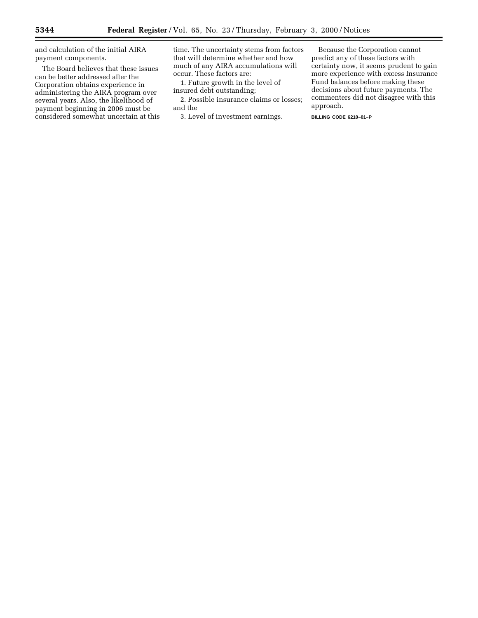and calculation of the initial AIRA payment components.

The Board believes that these issues can be better addressed after the Corporation obtains experience in administering the AIRA program over several years. Also, the likelihood of payment beginning in 2006 must be considered somewhat uncertain at this

time. The uncertainty stems from factors that will determine whether and how much of any AIRA accumulations will occur. These factors are:

1. Future growth in the level of insured debt outstanding;

2. Possible insurance claims or losses; and the

3. Level of investment earnings.

Because the Corporation cannot predict any of these factors with certainty now, it seems prudent to gain more experience with excess Insurance Fund balances before making these decisions about future payments. The commenters did not disagree with this approach.

**BILLING CODE 6210–01–P**

▀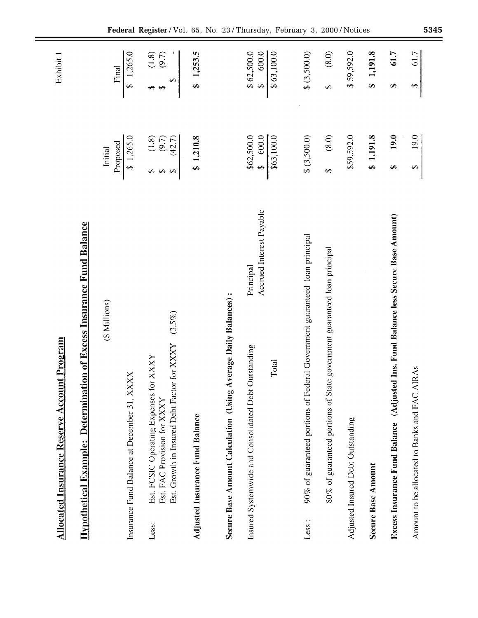| <b>Allocated Insurance Reserve Account Program</b>                                                                                         |                                                                         | Exhibit 1                                                           |
|--------------------------------------------------------------------------------------------------------------------------------------------|-------------------------------------------------------------------------|---------------------------------------------------------------------|
| ion of Excess Insurance Fund Balance<br><b>Hypothetical Example: Determinati</b>                                                           |                                                                         |                                                                     |
| (\$ Millions)                                                                                                                              | Proposed<br>Initial                                                     | Final                                                               |
| $X_{\mathbf{X}}$<br>Insurance Fund Balance at December 31, XX                                                                              | \$1,265.0                                                               | \$1,265.0                                                           |
| $(3.5\%)$<br>Est. Growth in Insured Debt Factor for XXXY<br>Est. FCSIC Operating Expenses for XXXY<br>Est. FAC Provision for XXXY<br>Less: | $\begin{pmatrix} 1.8 \\ 9.7 \end{pmatrix}$<br>(42.7)<br><b>SA SA SA</b> | $\begin{array}{c} (1.8) \\ (9.7) \end{array}$<br>$\Theta$<br>မှာမှာ |
| <b>Adjusted Insurance Fund Balance</b>                                                                                                     | \$1,210.8                                                               | \$1,253.5                                                           |
| Secure Base Amount Calculation (Using Average Daily Balances):                                                                             |                                                                         |                                                                     |
| Accrued Interest Payable<br>Principal<br>Insured Systemwide and Consolidated Debt Outstanding                                              | \$62,500.0<br>\$ 600.0                                                  | $$62,500.0$<br>$$600.0$                                             |
| Total                                                                                                                                      | \$63,100.0                                                              | $\sqrt{63,100.0}$                                                   |
| eral Government guaranteed loan principal<br>90% of guaranteed portions of Fed<br>Less:                                                    | \$ (3,500.0)                                                            | \$ (3,500.0)                                                        |
| 80% of guaranteed portions of State government guaranteed loan principal                                                                   | $(8.0)$<br>$\leftrightarrow$                                            | $(8.0)$<br>$\Theta$                                                 |
| Adjusted Insured Debt Outstanding                                                                                                          | \$59,592.0                                                              | \$59,592.0                                                          |
| Secure Base Amount                                                                                                                         | \$1,191.8                                                               | \$1,191.8                                                           |
| Excess Insurance Fund Balance (Adjusted Ins. Fund Balance less Secure Base Amount)                                                         | 19.0<br>↮                                                               | 61.7<br>↮                                                           |
| Amount to be allocated to Banks and FAC AIRAs                                                                                              | 19.0<br>$\Theta$                                                        | 61.7<br>$\leftrightarrow$                                           |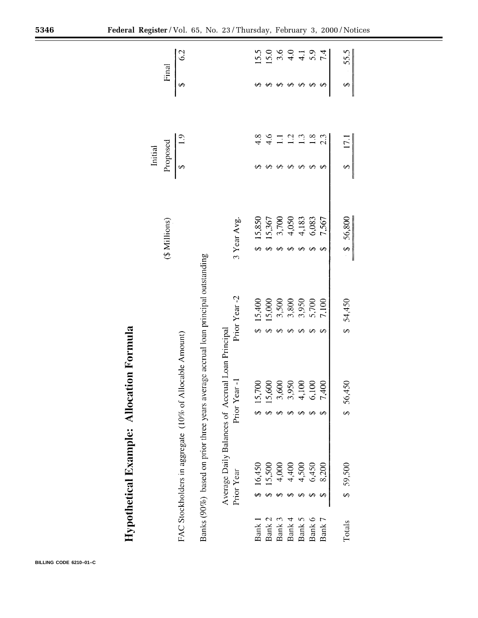|         | Final         | $\mathcal{C}$                                           |                                                                                   |                                                  |               | 15.5     | 15.0               |            | $3.6$<br>4.0 | $\overline{4}$    | 5.9                             | 7.4                        | 55.5     |
|---------|---------------|---------------------------------------------------------|-----------------------------------------------------------------------------------|--------------------------------------------------|---------------|----------|--------------------|------------|--------------|-------------------|---------------------------------|----------------------------|----------|
|         |               | ↔                                                       |                                                                                   |                                                  |               |          |                    |            | ↮            | ↔                 | ↮                               | ↮                          | ↔        |
|         |               |                                                         |                                                                                   |                                                  |               | 4.8      | $\ddot{4}$         | Ξ          | $\vec{C}$    | ن                 | $\frac{8}{1}$                   | 2.3                        | 17.1     |
| Initial | Proposed      | $\mathbf{\Theta}$                                       |                                                                                   |                                                  |               |          |                    |            | ↔            | ↮                 | ↮                               | ↮                          | ↔        |
|         | (\$ Millions) |                                                         |                                                                                   |                                                  | 3 Year Avg.   | 15,850   | 15,367             | 3,700<br>↮ | 4,050<br>↔   | 4,183<br>$\Theta$ | 6,083<br>↮                      | 7,567<br>↔                 | \$56,800 |
|         |               |                                                         | Banks (90%) based on prior three years average accrual loan principal outstanding |                                                  | Prior Year -2 | 15,400   | 15,000<br>$\Theta$ | 3,500<br>↔ | 3,800<br>↮   | 3,950<br>₩        | 5,700<br>$\boldsymbol{\varphi}$ | 7,100<br>$\leftrightarrow$ | \$54,450 |
|         |               | FAC Stockholders in aggregate (10% of Allocable Amount) |                                                                                   | Average Daily Balances of Accrual Loan Principal | Prior Year-J  | 15,700   | 15,600             | 3,600      | 3,950        | 4,100             | 6,100                           | 7,400                      | \$56,450 |
|         |               |                                                         |                                                                                   |                                                  | Prior Year    | \$16,450 | 15,500             | 4,000      | 4,400        | 4,500             | 6,450                           | 8,200                      | \$59,500 |
|         |               |                                                         |                                                                                   |                                                  |               | Bank 1   | Bank 2             | Bank 3     | Bank 4       | Bank 5            | Bank 6                          | Bank 7                     | Totals   |

# Hypothetical Example: Allocation Formula

**BILLING CODE 6210–01–C**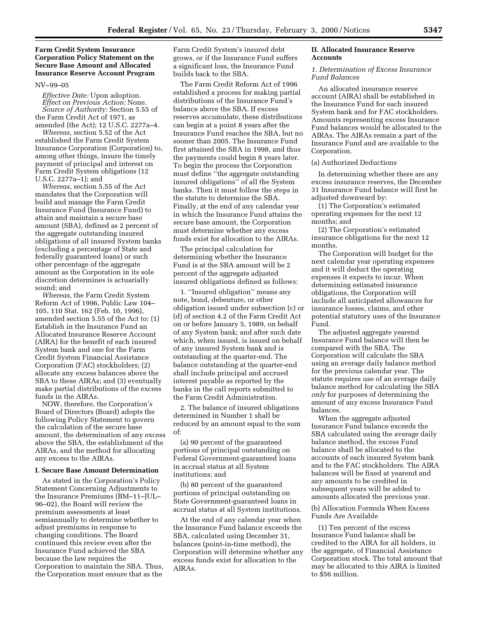# **Farm Credit System Insurance Corporation Policy Statement on the Secure Base Amount and Allocated Insurance Reserve Account Program**

# NV–99–05

*Effective Date:* Upon adoption. *Effect on Previous Action:* None. *Source of Authority:* Section 5.55 of the Farm Credit Act of 1971, as amended (the Act); 12 U.S.C. 2277a–4.

*Whereas,* section 5.52 of the Act established the Farm Credit System Insurance Corporation (Corporation) to, among other things, insure the timely payment of principal and interest on Farm Credit System obligations (12 U.S.C. 2277a–1); and

*Whereas,* section 5.55 of the Act mandates that the Corporation will build and manage the Farm Credit Insurance Fund (Insurance Fund) to attain and maintain a secure base amount (SBA), defined as 2 percent of the aggregate outstanding insured obligations of all insured System banks (excluding a percentage of State and federally guaranteed loans) or such other percentage of the aggregate amount as the Corporation in its sole discretion determines is actuarially sound; and

*Whereas,* the Farm Credit System Reform Act of 1996, Public Law 104– 105, 110 Stat. 162 (Feb. 10, 1996), amended section 5.55 of the Act to: (1) Establish in the Insurance Fund an Allocated Insurance Reserve Account (AIRA) for the benefit of each insured System bank and one for the Farm Credit System Financial Assistance Corporation (FAC) stockholders; (2) allocate any excess balances above the SBA to these AIRAs; and (3) eventually make partial distributions of the excess funds in the AIRAs.

NOW, therefore, the Corporation's Board of Directors (Board) adopts the following Policy Statement to govern the calculation of the secure base amount, the determination of any excess above the SBA, the establishment of the AIRAs, and the method for allocating any excess to the AIRAs.

## **I. Secure Base Amount Determination**

As stated in the Corporation's Policy Statement Concerning Adjustments to the Insurance Premiums (BM–11–JUL– 96–02), the Board will review the premium assessments at least semiannually to determine whether to adjust premiums in response to changing conditions. The Board continued this review even after the Insurance Fund achieved the SBA because the law requires the Corporation to maintain the SBA. Thus, the Corporation must ensure that as the

Farm Credit System's insured debt grows, or if the Insurance Fund suffers a significant loss, the Insurance Fund builds back to the SBA.

The Farm Credit Reform Act of 1996 established a process for making partial distributions of the Insurance Fund's balance above the SBA. If excess reserves accumulate, these distributions can begin at a point 8 years after the Insurance Fund reaches the SBA, but no sooner than 2005. The Insurance Fund first attained the SBA in 1998, and thus the payments could begin 8 years later. To begin the process the Corporation must define ''the aggregate outstanding insured obligations'' of all the System banks. Then it must follow the steps in the statute to determine the SBA. Finally, at the end of any calendar year in which the Insurance Fund attains the secure base amount, the Corporation must determine whether any excess funds exist for allocation to the AIRAs.

The principal calculation for determining whether the Insurance Fund is at the SBA amount will be 2 percent of the aggregate adjusted insured obligations defined as follows:

1. ''Insured obligation'' means any note, bond, debenture, or other obligation issued under subsection (c) or (d) of section 4.2 of the Farm Credit Act on or before January 5, 1989, on behalf of any System bank; and after such date which, when issued, is issued on behalf of any insured System bank and is outstanding at the quarter-end. The balance outstanding at the quarter-end shall include principal and accrued interest payable as reported by the banks in the call reports submitted to the Farm Credit Administration.

2. The balance of insured obligations determined in Number 1 shall be reduced by an amount equal to the sum of:

(a) 90 percent of the guaranteed portions of principal outstanding on Federal Government-guaranteed loans in accrual status at all System institutions; and

(b) 80 percent of the guaranteed portions of principal outstanding on State Government-guaranteed loans in accrual status at all System institutions.

At the end of any calendar year when the Insurance Fund balance exceeds the SBA, calculated using December 31, balances (point-in-time method), the Corporation will determine whether any excess funds exist for allocation to the AIRAs.

# **II. Allocated Insurance Reserve Accounts**

## *1. Determination of Excess Insurance Fund Balances*

An allocated insurance reserve account (AIRA) shall be established in the Insurance Fund for each insured System bank and for FAC stockholders. Amounts representing excess Insurance Fund balances would be allocated to the AIRAs. The AIRAs remain a part of the Insurance Fund and are available to the Corporation.

# (a) Authorized Deductions

In determining whether there are any excess insurance reserves, the December 31 Insurance Fund balance will first be adjusted downward by:

(1) The Corporation's estimated operating expenses for the next 12 months; and

(2) The Corporation's estimated insurance obligations for the next 12 months.

The Corporation will budget for the next calendar year operating expenses and it will deduct the operating expenses it expects to incur. When determining estimated insurance obligations, the Corporation will include all anticipated allowances for insurance losses, claims, and other potential statutory uses of the Insurance Fund.

The adjusted aggregate yearend Insurance Fund balance will then be compared with the SBA. The Corporation will calculate the SBA using an average daily balance method for the previous calendar year. The statute requires use of an average daily balance method for calculating the SBA *only* for purposes of determining the amount of any excess Insurance Fund balances.

When the aggregate adjusted Insurance Fund balance exceeds the SBA calculated using the average daily balance method, the excess Fund balance shall be allocated to the accounts of each insured System bank and to the FAC stockholders. The AIRA balances will be fixed at yearend and any amounts to be credited in subsequent years will be added to amounts allocated the previous year.

(b) Allocation Formula When Excess Funds Are Available

(1) Ten percent of the excess Insurance Fund balance shall be credited to the AIRA for all holders, in the aggregate, of Financial Assistance Corporation stock. The total amount that may be allocated to this AIRA is limited to \$56 million.